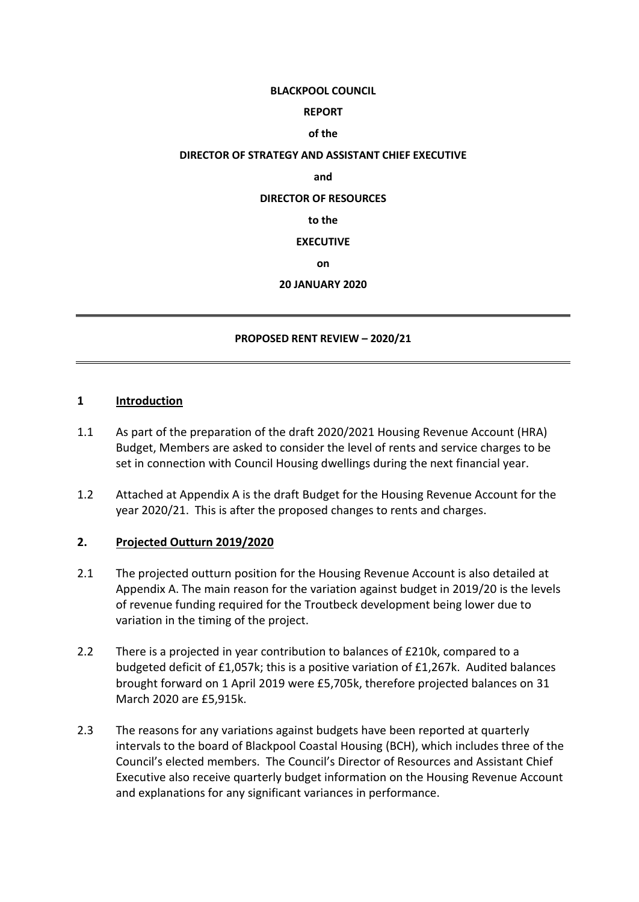#### **BLACKPOOL COUNCIL**

# **REPORT**

## **of the**

## **DIRECTOR OF STRATEGY AND ASSISTANT CHIEF EXECUTIVE**

#### **and**

## **DIRECTOR OF RESOURCES**

#### **to the**

## **EXECUTIVE**

## **on**

## **20 JANUARY 2020**

## **PROPOSED RENT REVIEW – 2020/21**

## **1 Introduction**

- 1.1 As part of the preparation of the draft 2020/2021 Housing Revenue Account (HRA) Budget, Members are asked to consider the level of rents and service charges to be set in connection with Council Housing dwellings during the next financial year.
- 1.2 Attached at Appendix A is the draft Budget for the Housing Revenue Account for the year 2020/21. This is after the proposed changes to rents and charges.

## **2. Projected Outturn 2019/2020**

- 2.1 The projected outturn position for the Housing Revenue Account is also detailed at Appendix A. The main reason for the variation against budget in 2019/20 is the levels of revenue funding required for the Troutbeck development being lower due to variation in the timing of the project.
- 2.2 There is a projected in year contribution to balances of £210k, compared to a budgeted deficit of £1,057k; this is a positive variation of £1,267k. Audited balances brought forward on 1 April 2019 were £5,705k, therefore projected balances on 31 March 2020 are £5,915k.
- 2.3 The reasons for any variations against budgets have been reported at quarterly intervals to the board of Blackpool Coastal Housing (BCH), which includes three of the Council's elected members. The Council's Director of Resources and Assistant Chief Executive also receive quarterly budget information on the Housing Revenue Account and explanations for any significant variances in performance.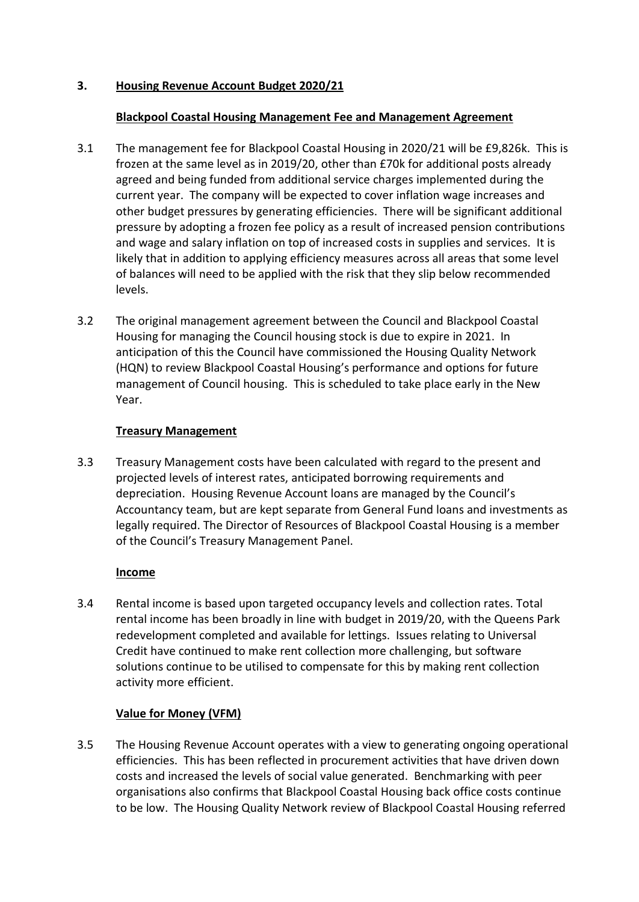# **3. Housing Revenue Account Budget 2020/21**

## **Blackpool Coastal Housing Management Fee and Management Agreement**

- 3.1 The management fee for Blackpool Coastal Housing in 2020/21 will be £9,826k. This is frozen at the same level as in 2019/20, other than £70k for additional posts already agreed and being funded from additional service charges implemented during the current year. The company will be expected to cover inflation wage increases and other budget pressures by generating efficiencies. There will be significant additional pressure by adopting a frozen fee policy as a result of increased pension contributions and wage and salary inflation on top of increased costs in supplies and services. It is likely that in addition to applying efficiency measures across all areas that some level of balances will need to be applied with the risk that they slip below recommended levels.
- 3.2 The original management agreement between the Council and Blackpool Coastal Housing for managing the Council housing stock is due to expire in 2021. In anticipation of this the Council have commissioned the Housing Quality Network (HQN) to review Blackpool Coastal Housing's performance and options for future management of Council housing. This is scheduled to take place early in the New Year.

## **Treasury Management**

3.3 Treasury Management costs have been calculated with regard to the present and projected levels of interest rates, anticipated borrowing requirements and depreciation. Housing Revenue Account loans are managed by the Council's Accountancy team, but are kept separate from General Fund loans and investments as legally required. The Director of Resources of Blackpool Coastal Housing is a member of the Council's Treasury Management Panel.

# **Income**

3.4 Rental income is based upon targeted occupancy levels and collection rates. Total rental income has been broadly in line with budget in 2019/20, with the Queens Park redevelopment completed and available for lettings. Issues relating to Universal Credit have continued to make rent collection more challenging, but software solutions continue to be utilised to compensate for this by making rent collection activity more efficient.

# **Value for Money (VFM)**

3.5 The Housing Revenue Account operates with a view to generating ongoing operational efficiencies. This has been reflected in procurement activities that have driven down costs and increased the levels of social value generated. Benchmarking with peer organisations also confirms that Blackpool Coastal Housing back office costs continue to be low. The Housing Quality Network review of Blackpool Coastal Housing referred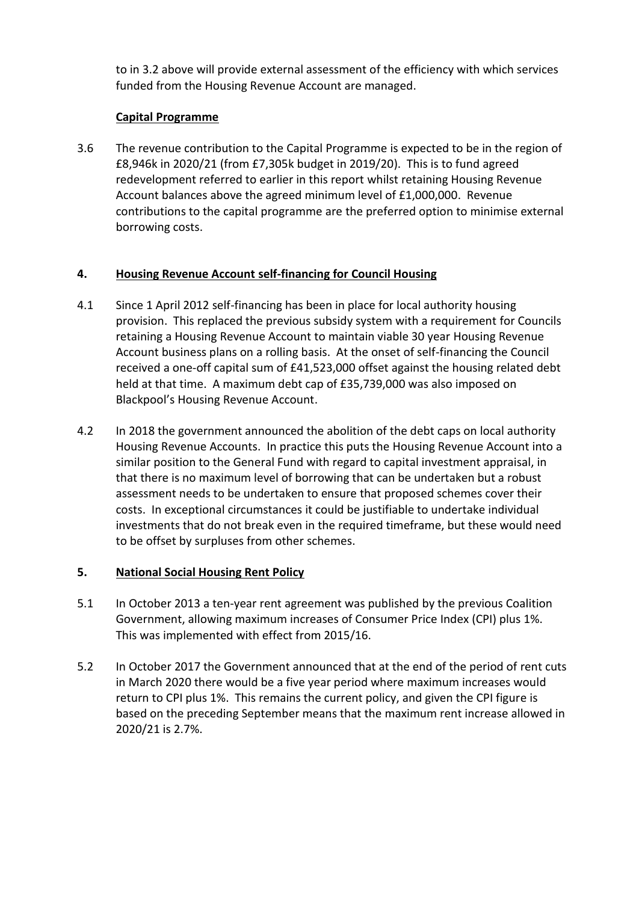to in 3.2 above will provide external assessment of the efficiency with which services funded from the Housing Revenue Account are managed.

# **Capital Programme**

3.6 The revenue contribution to the Capital Programme is expected to be in the region of £8,946k in 2020/21 (from £7,305k budget in 2019/20). This is to fund agreed redevelopment referred to earlier in this report whilst retaining Housing Revenue Account balances above the agreed minimum level of £1,000,000. Revenue contributions to the capital programme are the preferred option to minimise external borrowing costs.

# **4. Housing Revenue Account self-financing for Council Housing**

- 4.1 Since 1 April 2012 self-financing has been in place for local authority housing provision. This replaced the previous subsidy system with a requirement for Councils retaining a Housing Revenue Account to maintain viable 30 year Housing Revenue Account business plans on a rolling basis. At the onset of self-financing the Council received a one-off capital sum of £41,523,000 offset against the housing related debt held at that time. A maximum debt cap of £35,739,000 was also imposed on Blackpool's Housing Revenue Account.
- 4.2 In 2018 the government announced the abolition of the debt caps on local authority Housing Revenue Accounts. In practice this puts the Housing Revenue Account into a similar position to the General Fund with regard to capital investment appraisal, in that there is no maximum level of borrowing that can be undertaken but a robust assessment needs to be undertaken to ensure that proposed schemes cover their costs. In exceptional circumstances it could be justifiable to undertake individual investments that do not break even in the required timeframe, but these would need to be offset by surpluses from other schemes.

# **5. National Social Housing Rent Policy**

- 5.1 In October 2013 a ten-year rent agreement was published by the previous Coalition Government, allowing maximum increases of Consumer Price Index (CPI) plus 1%. This was implemented with effect from 2015/16.
- 5.2 In October 2017 the Government announced that at the end of the period of rent cuts in March 2020 there would be a five year period where maximum increases would return to CPI plus 1%. This remains the current policy, and given the CPI figure is based on the preceding September means that the maximum rent increase allowed in 2020/21 is 2.7%.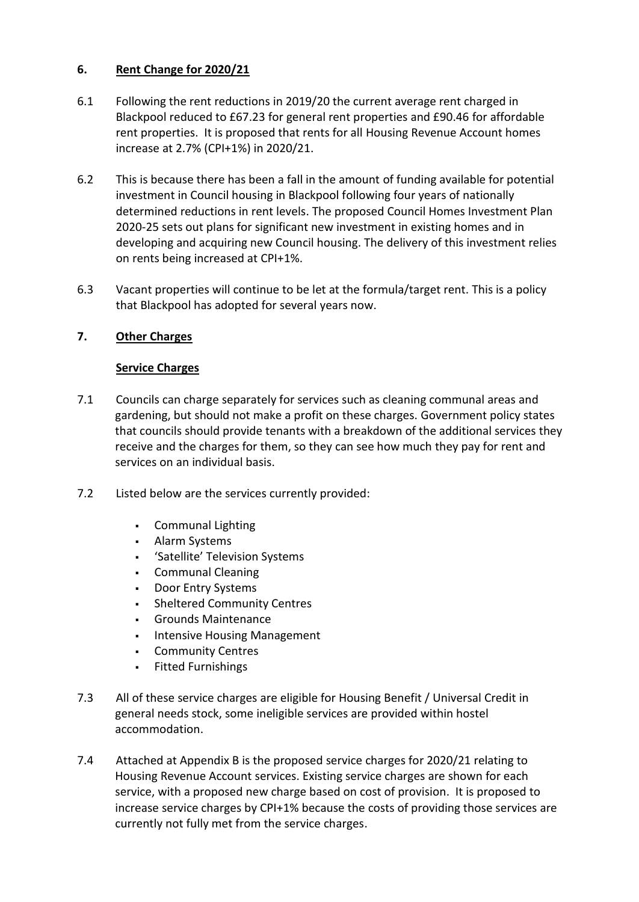# **6. Rent Change for 2020/21**

- 6.1 Following the rent reductions in 2019/20 the current average rent charged in Blackpool reduced to £67.23 for general rent properties and £90.46 for affordable rent properties. It is proposed that rents for all Housing Revenue Account homes increase at 2.7% (CPI+1%) in 2020/21.
- 6.2 This is because there has been a fall in the amount of funding available for potential investment in Council housing in Blackpool following four years of nationally determined reductions in rent levels. The proposed Council Homes Investment Plan 2020-25 sets out plans for significant new investment in existing homes and in developing and acquiring new Council housing. The delivery of this investment relies on rents being increased at CPI+1%.
- 6.3 Vacant properties will continue to be let at the formula/target rent. This is a policy that Blackpool has adopted for several years now.

# **7. Other Charges**

# **Service Charges**

- 7.1 Councils can charge separately for services such as cleaning communal areas and gardening, but should not make a profit on these charges. Government policy states that councils should provide tenants with a breakdown of the additional services they receive and the charges for them, so they can see how much they pay for rent and services on an individual basis.
- 7.2 Listed below are the services currently provided:
	- Communal Lighting
	- Alarm Systems
	- 'Satellite' Television Systems
	- **Communal Cleaning**
	- Door Entry Systems
	- Sheltered Community Centres
	- Grounds Maintenance
	- Intensive Housing Management
	- Community Centres
	- **Fitted Furnishings**
- 7.3 All of these service charges are eligible for Housing Benefit / Universal Credit in general needs stock, some ineligible services are provided within hostel accommodation.
- 7.4 Attached at Appendix B is the proposed service charges for 2020/21 relating to Housing Revenue Account services. Existing service charges are shown for each service, with a proposed new charge based on cost of provision. It is proposed to increase service charges by CPI+1% because the costs of providing those services are currently not fully met from the service charges.